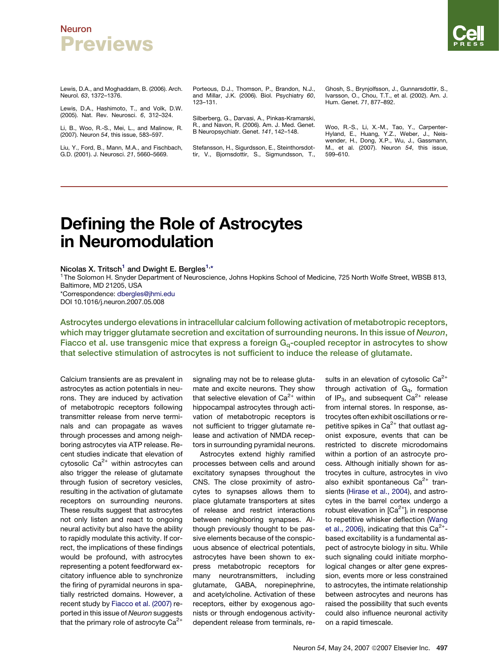#### **Neuron Previews**

Lewis, D.A., and Moghaddam, B. (2006). Arch. Neurol. *63*, 1372–1376.

Lewis, D.A., Hashimoto, T., and Volk, D.W. (2005). Nat. Rev. Neurosci. *6*, 312–324.

Li, B., Woo, R.-S., Mei, L., and Malinow, R. (2007). Neuron *54*, this issue, 583–597.

Liu, Y., Ford, B., Mann, M.A., and Fischbach, G.D. (2001). J. Neurosci. *21*, 5660–5669.

Porteous, D.J., Thomson, P., Brandon, N.J., and Millar, J.K. (2006). Biol. Psychiatry *60*, 123–131.

Silberberg, G., Darvasi, A., Pinkas-Kramarski, R., and Navon, R. (2006). Am. J. Med. Genet. B Neuropsychiatr. Genet. *141*, 142–148.

Stefansson, H., Sigurdsson, E., Steinthorsdottir, V., Bjornsdottir, S., Sigmundsson, T., Ghosh, S., Brynjolfsson, J., Gunnarsdottir, S., Ivarsson, O., Chou, T.T., et al. (2002). Am. J. Hum. Genet. *71*, 877–892.

Woo, R.-S., Li, X.-M., Tao, Y., Carpenter-Hyland, E., Huang, Y.Z., Weber, J., Neis-wender, H., Dong, X.P., Wu, J., Gassmann, M., et al. (2007). Neuron *54*, this issue, 599–610.

# Defining the Role of Astrocytes in Neuromodulation

Nicolas X. Tritsch<sup>1</sup> and Dwight E. Bergles<sup>1,\*</sup>

<sup>1</sup> The Solomon H. Snyder Department of Neuroscience, Johns Hopkins School of Medicine, 725 North Wolfe Street, WBSB 813, Baltimore, MD 21205, USA

\*Correspondence: [dbergles@jhmi.edu](mailto:dbergles@jhmi.edu) DOI 10.1016/j.neuron.2007.05.008

Astrocytes undergo elevations in intracellular calcium following activation of metabotropic receptors, which may trigger glutamate secretion and excitation of surrounding neurons. In this issue of Neuron, Fiacco et al. use transgenic mice that express a foreign  $G<sub>q</sub>$ -coupled receptor in astrocytes to show that selective stimulation of astrocytes is not sufficient to induce the release of glutamate.

Calcium transients are as prevalent in astrocytes as action potentials in neurons. They are induced by activation of metabotropic receptors following transmitter release from nerve terminals and can propagate as waves through processes and among neighboring astrocytes via ATP release. Recent studies indicate that elevation of cytosolic  $Ca^{2+}$  within astrocytes can also trigger the release of glutamate through fusion of secretory vesicles, resulting in the activation of glutamate receptors on surrounding neurons. These results suggest that astrocytes not only listen and react to ongoing neural activity but also have the ability to rapidly modulate this activity. If correct, the implications of these findings would be profound, with astrocytes representing a potent feedforward excitatory influence able to synchronize the firing of pyramidal neurons in spatially restricted domains. However, a recent study by [Fiacco et al. \(2007\)](#page-3-0) reported in this issue of *Neuron* suggests that the primary role of astrocyte  $Ca^{2+}$ 

signaling may not be to release glutamate and excite neurons. They show that selective elevation of  $Ca^{2+}$  within hippocampal astrocytes through activation of metabotropic receptors is not sufficient to trigger glutamate release and activation of NMDA receptors in surrounding pyramidal neurons.

Astrocytes extend highly ramified processes between cells and around excitatory synapses throughout the CNS. The close proximity of astrocytes to synapses allows them to place glutamate transporters at sites of release and restrict interactions between neighboring synapses. Although previously thought to be passive elements because of the conspicuous absence of electrical potentials, astrocytes have been shown to express metabotropic receptors for many neurotransmitters, including glutamate, GABA, norepinephrine, and acetylcholine. Activation of these receptors, either by exogenous agonists or through endogenous activitydependent release from terminals, re-

sults in an elevation of cytosolic  $Ca^{2+}$ through activation of  $G_q$ , formation of  $IP_3$ , and subsequent  $Ca^{2+}$  release from internal stores. In response, astrocytes often exhibit oscillations or repetitive spikes in  $Ca^{2+}$  that outlast agonist exposure, events that can be restricted to discrete microdomains within a portion of an astrocyte process. Although initially shown for astrocytes in culture, astrocytes in vivo also exhibit spontaneous  $Ca^{2+}$  transients ([Hirase et al., 2004](#page-3-0)), and astrocytes in the barrel cortex undergo a robust elevation in  $[Ca<sup>2+</sup>]$  in response to repetitive whisker deflection [\(Wang](#page-3-0) [et al., 2006](#page-3-0)), indicating that this  $Ca^{2+}$ based excitability is a fundamental aspect of astrocyte biology in situ. While such signaling could initiate morphological changes or alter gene expression, events more or less constrained to astrocytes, the intimate relationship between astrocytes and neurons has raised the possibility that such events could also influence neuronal activity on a rapid timescale.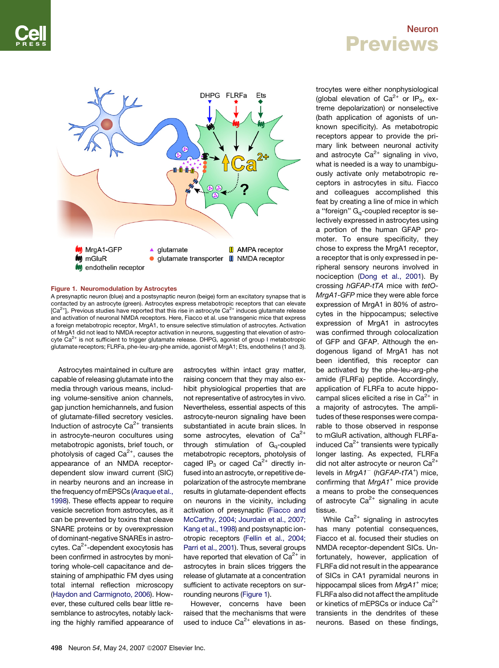### Neuron Previews



#### Figure 1. Neuromodulation by Astrocytes

A presynaptic neuron (blue) and a postsynaptic neuron (beige) form an excitatory synapse that is contacted by an astrocyte (green). Astrocytes express metabotropic receptors that can elevate [Ca<sup>2+</sup>]<sub>i</sub>. Previous studies have reported that this rise in astrocyte Ca<sup>2+</sup> induces glutamate release and activation of neuronal NMDA receptors. Here, Fiacco et al. use transgenic mice that express a foreign metabotropic receptor, MrgA1, to ensure selective stimulation of astrocytes. Activation of MrgA1 did not lead to NMDA receptor activation in neurons, suggesting that elevation of astrocyte  $Ca^{2+}$  is not sufficient to trigger glutamate release. DHPG, agonist of group I metabotropic glutamate receptors; FLRFa, phe-leu-arg-phe amide, agonist of MrgA1; Ets, endothelins (1 and 3).

Astrocytes maintained in culture are capable of releasing glutamate into the media through various means, including volume-sensitive anion channels, gap junction hemichannels, and fusion of glutamate-filled secretory vesicles. Induction of astrocyte  $Ca<sup>2+</sup>$  transients in astrocyte-neuron cocultures using metabotropic agonists, brief touch, or photolysis of caged  $Ca^{2+}$ , causes the appearance of an NMDA receptordependent slow inward current (SIC) in nearby neurons and an increase in the frequency of mEPSCs (Araque et al., [1998](#page-2-0)). These effects appear to require vesicle secretion from astrocytes, as it can be prevented by toxins that cleave SNARE proteins or by overexpression of dominant-negative SNAREs in astrocytes.  $Ca^{2+}$ -dependent exocytosis has been confirmed in astrocytes by monitoring whole-cell capacitance and destaining of amphipathic FM dyes using total internal reflection microscopy ([Haydon and Carmignoto, 2006](#page-3-0)). However, these cultured cells bear little resemblance to astrocytes, notably lacking the highly ramified appearance of astrocytes within intact gray matter, raising concern that they may also exhibit physiological properties that are not representative of astrocytes in vivo. Nevertheless, essential aspects of this astrocyte-neuron signaling have been substantiated in acute brain slices. In some astrocytes, elevation of  $Ca^{2+}$ through stimulation of  $G_q$ -coupled metabotropic receptors, photolysis of caged  $IP_3$  or caged  $Ca^{2+}$  directly infused into an astrocyte, or repetitive depolarization of the astrocyte membrane results in glutamate-dependent effects on neurons in the vicinity, including activation of presynaptic ([Fiacco and](#page-3-0) [McCarthy, 2004; Jourdain et al., 2007;](#page-3-0) [Kang et al., 1998\)](#page-3-0) and postsynaptic ionotropic receptors ([Fellin et al., 2004;](#page-3-0) [Parri et al., 2001](#page-3-0)). Thus, several groups have reported that elevation of  $Ca^{2+}$  in astrocytes in brain slices triggers the release of glutamate at a concentration sufficient to activate receptors on surrounding neurons (Figure 1).

However, concerns have been raised that the mechanisms that were used to induce  $Ca^{2+}$  elevations in as-

trocytes were either nonphysiological (global elevation of  $Ca^{2+}$  or IP<sub>3</sub>, extreme depolarization) or nonselective (bath application of agonists of unknown specificity). As metabotropic receptors appear to provide the primary link between neuronal activity and astrocyte  $Ca^{2+}$  signaling in vivo, what is needed is a way to unambiguously activate only metabotropic receptors in astrocytes in situ. Fiacco and colleagues accomplished this feat by creating a line of mice in which a "foreign"  $G_q$ -coupled receptor is selectively expressed in astrocytes using a portion of the human GFAP promoter. To ensure specificity, they chose to express the MrgA1 receptor, a receptor that is only expressed in peripheral sensory neurons involved in nociception [\(Dong et al., 2001](#page-3-0)). By crossing *hGFAP-tTA* mice with *tetO-MrgA1-GFP* mice they were able force expression of MrgA1 in 80% of astrocytes in the hippocampus; selective expression of MrgA1 in astrocytes was confirmed through colocalization of GFP and GFAP. Although the endogenous ligand of MrgA1 has not been identified, this receptor can be activated by the phe-leu-arg-phe amide (FLRFa) peptide. Accordingly, application of FLRFa to acute hippocampal slices elicited a rise in  $Ca^{2+}$  in a majority of astrocytes. The amplitudes of these responses were comparable to those observed in response to mGluR activation, although FLRFainduced  $Ca<sup>2+</sup>$  transients were typically longer lasting. As expected, FLRFa did not alter astrocyte or neuron  $Ca^{2+}$ levels in *MrgA1*- (*hGFAP-tTA<sup>+</sup>* ) mice, confirming that *MrgA1<sup>+</sup>* mice provide a means to probe the consequences of astrocyte  $Ca^{2+}$  signaling in acute tissue.

While  $Ca^{2+}$  signaling in astrocytes has many potential consequences, Fiacco et al. focused their studies on NMDA receptor-dependent SICs. Unfortunately, however, application of FLRFa did not result in the appearance of SICs in CA1 pyramidal neurons in hippocampal slices from *MrgA1+* mice; FLRFa also did not affect the amplitude or kinetics of mEPSCs or induce  $Ca^{2+}$ transients in the dendrites of these neurons. Based on these findings,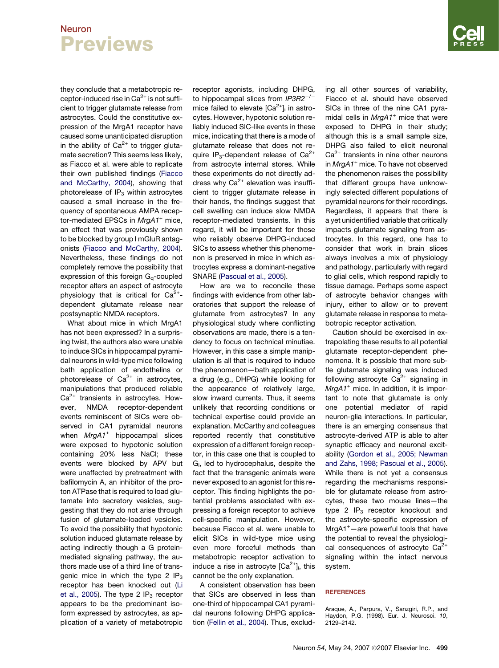### <span id="page-2-0"></span>**Neuron Previews**

they conclude that a metabotropic receptor-induced rise in  $Ca<sup>2+</sup>$  is not sufficient to trigger glutamate release from astrocytes. Could the constitutive expression of the MrgA1 receptor have caused some unanticipated disruption in the ability of  $Ca^{2+}$  to trigger glutamate secretion? This seems less likely, as Fiacco et al. were able to replicate their own published findings ([Fiacco](#page-3-0) [and McCarthy, 2004](#page-3-0)), showing that photorelease of  $IP_3$  within astrocytes caused a small increase in the frequency of spontaneous AMPA receptor-mediated EPSCs in *MrgA1<sup>+</sup>* mice, an effect that was previously shown to be blocked by group I mGluR antagonists ([Fiacco and McCarthy, 2004\)](#page-3-0). Nevertheless, these findings do not completely remove the possibility that expression of this foreign  $G_q$ -coupled receptor alters an aspect of astrocyte physiology that is critical for  $Ca^{2+}$ dependent glutamate release near postsynaptic NMDA receptors.

What about mice in which MrgA1 has not been expressed? In a surprising twist, the authors also were unable to induce SICs in hippocampal pyramidal neurons in wild-type mice following bath application of endothelins or photorelease of  $Ca^{2+}$  in astrocytes, manipulations that produced reliable  $Ca<sup>2+</sup>$  transients in astrocytes. However, NMDA receptor-dependent events reminiscent of SICs were observed in CA1 pyramidal neurons when *MrgA1<sup>+</sup>* hippocampal slices were exposed to hypotonic solution containing 20% less NaCl; these events were blocked by APV but were unaffected by pretreatment with bafilomycin A, an inhibitor of the proton ATPase that is required to load glutamate into secretory vesicles, suggesting that they do not arise through fusion of glutamate-loaded vesicles. To avoid the possibility that hypotonic solution induced glutamate release by acting indirectly though a G proteinmediated signaling pathway, the authors made use of a third line of transgenic mice in which the type 2  $IP_3$ receptor has been knocked out ([Li](#page-3-0) [et al., 2005\)](#page-3-0). The type 2  $IP<sub>3</sub>$  receptor appears to be the predominant isoform expressed by astrocytes, as application of a variety of metabotropic

receptor agonists, including DHPG, to hippocampal slices from *IP3R2*-*/*mice failed to elevate  $[Ca^{2+}]$ <sub>i</sub> in astrocytes. However, hypotonic solution reliably induced SIC-like events in these mice, indicating that there is a mode of glutamate release that does not require  $IP_3$ -dependent release of  $Ca^{2+}$ from astrocyte internal stores. While these experiments do not directly address why  $Ca^{2+}$  elevation was insufficient to trigger glutamate release in their hands, the findings suggest that cell swelling can induce slow NMDA receptor-mediated transients. In this regard, it will be important for those who reliably observe DHPG-induced SICs to assess whether this phenomenon is preserved in mice in which astrocytes express a dominant-negative SNARE ([Pascual et al., 2005](#page-3-0)).

How are we to reconcile these findings with evidence from other laboratories that support the release of glutamate from astrocytes? In any physiological study where conflicting observations are made, there is a tendency to focus on technical minutiae. However, in this case a simple manipulation is all that is required to induce the phenomenon—bath application of a drug (e.g., DHPG) while looking for the appearance of relatively large, slow inward currents. Thus, it seems unlikely that recording conditions or technical expertise could provide an explanation. McCarthy and colleagues reported recently that constitutive expression of a different foreign receptor, in this case one that is coupled to Gi , led to hydrocephalus, despite the fact that the transgenic animals were never exposed to an agonist for this receptor. This finding highlights the potential problems associated with expressing a foreign receptor to achieve cell-specific manipulation. However, because Fiacco et al. were unable to elicit SICs in wild-type mice using even more forceful methods than metabotropic receptor activation to induce a rise in astrocyte  $\lbrack Ca^{2+}\rbrack _i$ , this cannot be the only explanation.

A consistent observation has been that SICs are observed in less than one-third of hippocampal CA1 pyramidal neurons following DHPG application [\(Fellin et al., 2004](#page-3-0)). Thus, exclud-

ing all other sources of variability, Fiacco et al. should have observed SICs in three of the nine CA1 pyramidal cells in *MrgA1<sup>+</sup>* mice that were exposed to DHPG in their study; although this is a small sample size, DHPG also failed to elicit neuronal  $Ca<sup>2+</sup>$  transients in nine other neurons in *MrgA1<sup>+</sup>* mice. To have not observed the phenomenon raises the possibility that different groups have unknowingly selected different populations of pyramidal neurons for their recordings. Regardless, it appears that there is a yet unidentified variable that critically impacts glutamate signaling from astrocytes. In this regard, one has to consider that work in brain slices always involves a mix of physiology and pathology, particularly with regard to glial cells, which respond rapidly to tissue damage. Perhaps some aspect of astrocyte behavior changes with injury, either to allow or to prevent glutamate release in response to metabotropic receptor activation.

Caution should be exercised in extrapolating these results to all potential glutamate receptor-dependent phenomena. It is possible that more subtle glutamate signaling was induced following astrocyte  $Ca^{2+}$  signaling in *MrgA1<sup>+</sup>* mice. In addition, it is important to note that glutamate is only one potential mediator of rapid neuron-glia interactions. In particular, there is an emerging consensus that astrocyte-derived ATP is able to alter synaptic efficacy and neuronal excitability [\(Gordon et al., 2005; Newman](#page-3-0) [and Zahs, 1998; Pascual et al., 2005](#page-3-0)). While there is not yet a consensus regarding the mechanisms responsible for glutamate release from astrocytes, these two mouse lines—the type 2  $IP_3$  receptor knockout and the astrocyte-specific expression of MrgA1<sup>+</sup> —are powerful tools that have the potential to reveal the physiological consequences of astrocyte  $Ca^{2+}$ signaling within the intact nervous system.

#### **REFERENCES**

Araque, A., Parpura, V., Sanzgiri, R.P., and Haydon, P.G. (1998). Eur. J. Neurosci. *10*, 2129–2142.